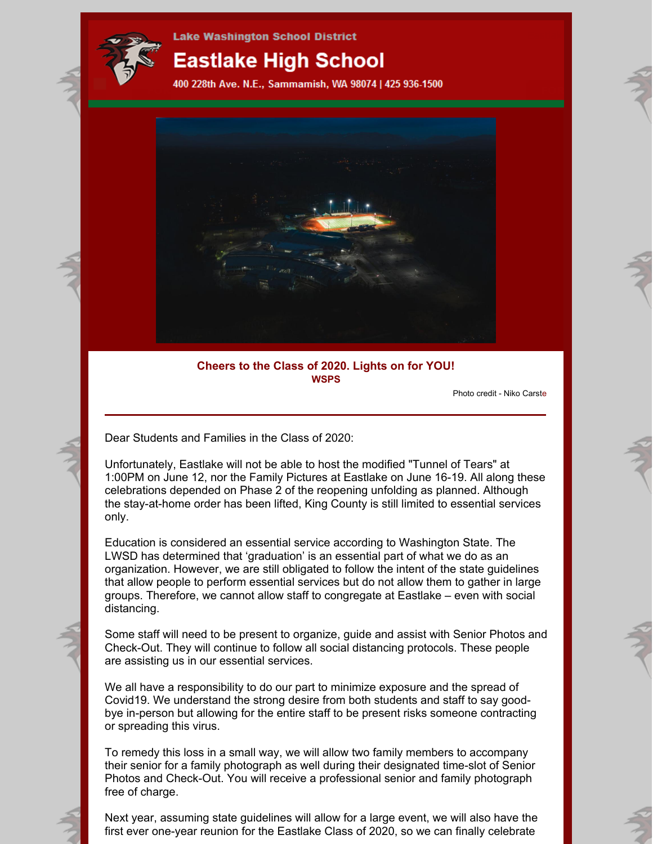

**Lake Washington School District** 

# **Eastlake High School**

400 228th Ave. N.E., Sammamish, WA 98074 | 425 936-1500



## **Cheers to the Class of 2020. Lights on for YOU! WSPS**

Photo credit - Niko Carste

Dear Students and Families in the Class of 2020:

Unfortunately, Eastlake will not be able to host the modified "Tunnel of Tears" at 1:00PM on June 12, nor the Family Pictures at Eastlake on June 16-19. All along these celebrations depended on Phase 2 of the reopening unfolding as planned. Although the stay-at-home order has been lifted, King County is still limited to essential services only.

Education is considered an essential service according to Washington State. The LWSD has determined that 'graduation' is an essential part of what we do as an organization. However, we are still obligated to follow the intent of the state guidelines that allow people to perform essential services but do not allow them to gather in large groups. Therefore, we cannot allow staff to congregate at Eastlake – even with social distancing.

Some staff will need to be present to organize, guide and assist with Senior Photos and Check-Out. They will continue to follow all social distancing protocols. These people are assisting us in our essential services.

We all have a responsibility to do our part to minimize exposure and the spread of Covid19. We understand the strong desire from both students and staff to say goodbye in-person but allowing for the entire staff to be present risks someone contracting or spreading this virus.

To remedy this loss in a small way, we will allow two family members to accompany their senior for a family photograph as well during their designated time-slot of Senior Photos and Check-Out. You will receive a professional senior and family photograph free of charge.

Next year, assuming state guidelines will allow for a large event, we will also have the first ever one-year reunion for the Eastlake Class of 2020, so we can finally celebrate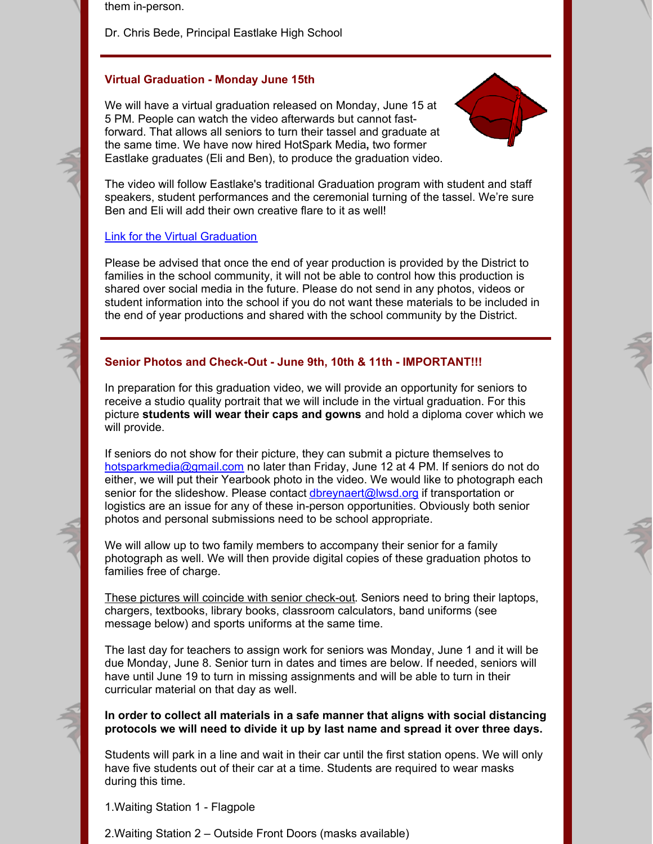them in-person.

Dr. Chris Bede, Principal Eastlake High School

# **Virtual Graduation - Monday June 15th**

We will have a virtual graduation released on Monday, June 15 at 5 PM. People can watch the video afterwards but cannot fastforward. That allows all seniors to turn their tassel and graduate at the same time. We have now hired HotSpark Media**,** two former Eastlake graduates (Eli and Ben), to produce the graduation video.



The video will follow Eastlake's traditional Graduation program with student and staff speakers, student performances and the ceremonial turning of the tassel. We're sure Ben and Eli will add their own creative flare to it as well!

### Link for the Virtual [Graduation](https://www.youtube.com/watch?v=Wc-yU_Y9ZFY&feature=youtu.be)

Please be advised that once the end of year production is provided by the District to families in the school community, it will not be able to control how this production is shared over social media in the future. Please do not send in any photos, videos or student information into the school if you do not want these materials to be included in the end of year productions and shared with the school community by the District.

## **Senior Photos and Check-Out - June 9th, 10th & 11th - IMPORTANT!!!**

In preparation for this graduation video, we will provide an opportunity for seniors to receive a studio quality portrait that we will include in the virtual graduation. For this picture **students will wear their caps and gowns** and hold a diploma cover which we will provide.

If seniors do not show for their picture, they can submit a picture themselves to [hotsparkmedia@gmail.com](mailto:hotsparkmedia@gmail.com) no later than Friday, June 12 at 4 PM. If seniors do not do either, we will put their Yearbook photo in the video. We would like to photograph each senior for the slideshow. Please contact [dbreynaert@lwsd.org](mailto:dbreynaert@lwsd.org) if transportation or logistics are an issue for any of these in-person opportunities. Obviously both senior photos and personal submissions need to be school appropriate.

We will allow up to two family members to accompany their senior for a family photograph as well. We will then provide digital copies of these graduation photos to families free of charge.

These pictures will coincide with senior check-out. Seniors need to bring their laptops, chargers, textbooks, library books, classroom calculators, band uniforms (see message below) and sports uniforms at the same time.

The last day for teachers to assign work for seniors was Monday, June 1 and it will be due Monday, June 8. Senior turn in dates and times are below. If needed, seniors will have until June 19 to turn in missing assignments and will be able to turn in their curricular material on that day as well.

**In order to collect all materials in a safe manner that aligns with social distancing protocols we will need to divide it up by last name and spread it over three days.**

Students will park in a line and wait in their car until the first station opens. We will only have five students out of their car at a time. Students are required to wear masks during this time.

1.Waiting Station 1 - Flagpole

2.Waiting Station 2 – Outside Front Doors (masks available)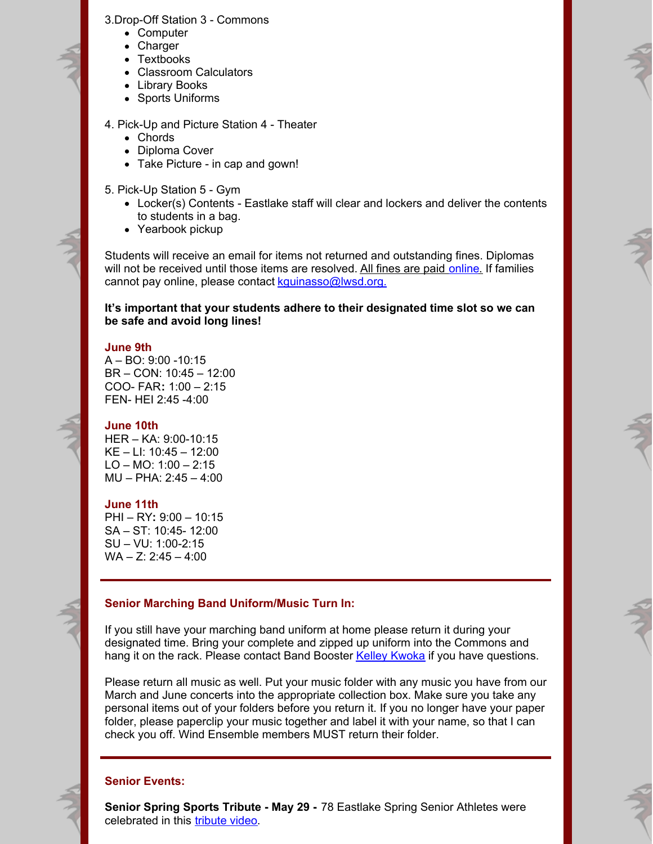#### 3.Drop-Off Station 3 - Commons

- Computer
- Charger
- Textbooks
- Classroom Calculators
- Library Books
- Sports Uniforms

### 4. Pick-Up and Picture Station 4 - Theater

- Chords
- Diploma Cover
- Take Picture in cap and gown!

5. Pick-Up Station 5 - Gym

- Locker(s) Contents Eastlake staff will clear and lockers and deliver the contents to students in a bag.
- Yearbook pickup

Students will receive an email for items not returned and outstanding fines. Diplomas will not be received until those items are resolved. All fines are paid [online](https://payments.lwsd.org/). If families cannot pay online, please contact [kguinasso@lwsd.org.](mailto:kguinasso@lwsd.org)

**It's important that your students adhere to their designated time slot so we can be safe and avoid long lines!**

#### **June 9th**

 $A - BO: 9:00 - 10:15$ BR – CON: 10:45 – 12:00 COO- FAR**:** 1:00 – 2:15 FEN- HEI 2:45 -4:00

## **June 10th**

HER – KA: 9:00-10:15 KE – LI: 10:45 – 12:00 LO – MO:  $1:00 - 2:15$ MU – PHA: 2:45 – 4:00

#### **June 11th**

PHI – RY**:** 9:00 – 10:15 SA – ST: 10:45- 12:00 SU – VU: 1:00-2:15  $WA - Z: 2:45 - 4:00$ 

# **Senior Marching Band Uniform/Music Turn In:**

If you still have your marching band uniform at home please return it during your designated time. Bring your complete and zipped up uniform into the Commons and hang it on the rack. Please contact Band Booster Kelley [Kwoka](mailto:kelleykwoka@hotmail.com) if you have questions.

Please return all music as well. Put your music folder with any music you have from our March and June concerts into the appropriate collection box. Make sure you take any personal items out of your folders before you return it. If you no longer have your paper folder, please paperclip your music together and label it with your name, so that I can check you off. Wind Ensemble members MUST return their folder.

## **Senior Events:**

**Senior Spring Sports Tribute - May 29 -** 78 Eastlake Spring Senior Athletes were celebrated in this **[tribute](https://www.youtube.com/watch?v=SNTCbWeAcuk&feature=youtu.be) video**.